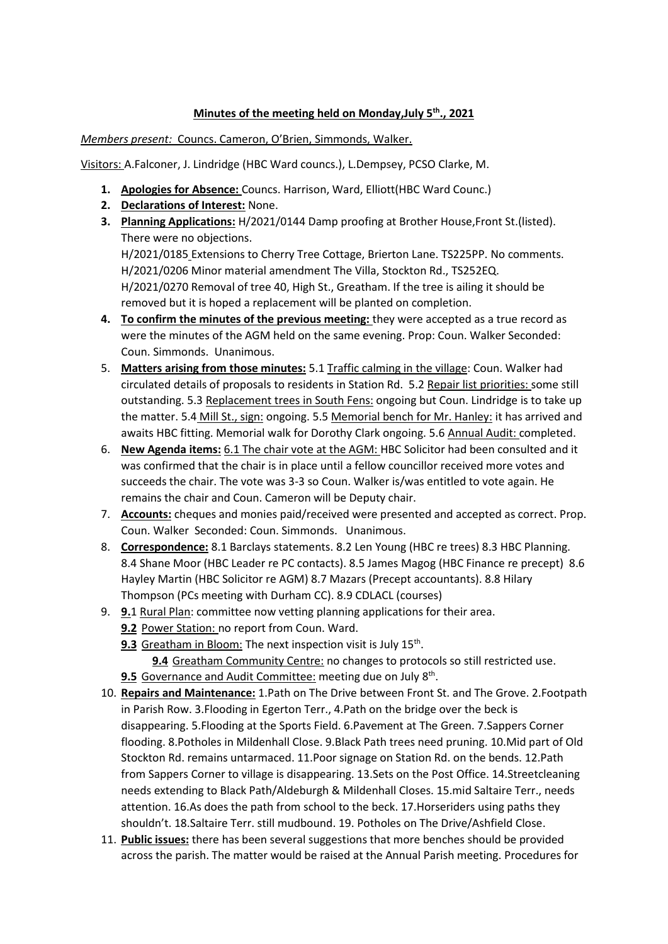## **Minutes of the meeting held on Monday,July 5th., 2021**

*Members present:* Councs. Cameron, O'Brien, Simmonds, Walker.

Visitors: A.Falconer, J. Lindridge (HBC Ward councs.), L.Dempsey, PCSO Clarke, M.

- **1. Apologies for Absence:** Councs. Harrison, Ward, Elliott(HBC Ward Counc.)
- **2. Declarations of Interest:** None.
- **3. Planning Applications:** H/2021/0144 Damp proofing at Brother House,Front St.(listed). There were no objections. H/2021/0185 Extensions to Cherry Tree Cottage, Brierton Lane. TS225PP. No comments. H/2021/0206 Minor material amendment The Villa, Stockton Rd., TS252EQ. H/2021/0270 Removal of tree 40, High St., Greatham. If the tree is ailing it should be removed but it is hoped a replacement will be planted on completion.
- **4. To confirm the minutes of the previous meeting:** they were accepted as a true record as were the minutes of the AGM held on the same evening. Prop: Coun. Walker Seconded: Coun. Simmonds. Unanimous.
- 5. **Matters arising from those minutes:** 5.1 Traffic calming in the village: Coun. Walker had circulated details of proposals to residents in Station Rd. 5.2 Repair list priorities: some still outstanding. 5.3 Replacement trees in South Fens: ongoing but Coun. Lindridge is to take up the matter. 5.4 Mill St., sign: ongoing. 5.5 Memorial bench for Mr. Hanley: it has arrived and awaits HBC fitting. Memorial walk for Dorothy Clark ongoing. 5.6 Annual Audit: completed.
- 6. **New Agenda items:** 6.1 The chair vote at the AGM: HBC Solicitor had been consulted and it was confirmed that the chair is in place until a fellow councillor received more votes and succeeds the chair. The vote was 3-3 so Coun. Walker is/was entitled to vote again. He remains the chair and Coun. Cameron will be Deputy chair.
- 7. **Accounts:** cheques and monies paid/received were presented and accepted as correct. Prop. Coun. Walker Seconded: Coun. Simmonds. Unanimous.
- 8. **Correspondence:** 8.1 Barclays statements. 8.2 Len Young (HBC re trees) 8.3 HBC Planning. 8.4 Shane Moor (HBC Leader re PC contacts). 8.5 James Magog (HBC Finance re precept) 8.6 Hayley Martin (HBC Solicitor re AGM) 8.7 Mazars (Precept accountants). 8.8 Hilary Thompson (PCs meeting with Durham CC). 8.9 CDLACL (courses)
- 9. **9.**1 Rural Plan: committee now vetting planning applications for their area.
	- **9.2** Power Station: no report from Coun. Ward.
	- 9.3 Greatham in Bloom: The next inspection visit is July 15<sup>th</sup>.

**9.4** Greatham Community Centre: no changes to protocols so still restricted use.

- 9.5 Governance and Audit Committee: meeting due on July 8<sup>th</sup>.
- 10. **Repairs and Maintenance:** 1.Path on The Drive between Front St. and The Grove. 2.Footpath in Parish Row. 3.Flooding in Egerton Terr., 4.Path on the bridge over the beck is disappearing. 5.Flooding at the Sports Field. 6.Pavement at The Green. 7.Sappers Corner flooding. 8.Potholes in Mildenhall Close. 9.Black Path trees need pruning. 10.Mid part of Old Stockton Rd. remains untarmaced. 11.Poor signage on Station Rd. on the bends. 12.Path from Sappers Corner to village is disappearing. 13.Sets on the Post Office. 14.Streetcleaning needs extending to Black Path/Aldeburgh & Mildenhall Closes. 15.mid Saltaire Terr., needs attention. 16.As does the path from school to the beck. 17.Horseriders using paths they shouldn't. 18.Saltaire Terr. still mudbound. 19. Potholes on The Drive/Ashfield Close.
- 11. **Public issues:** there has been several suggestions that more benches should be provided across the parish. The matter would be raised at the Annual Parish meeting. Procedures for